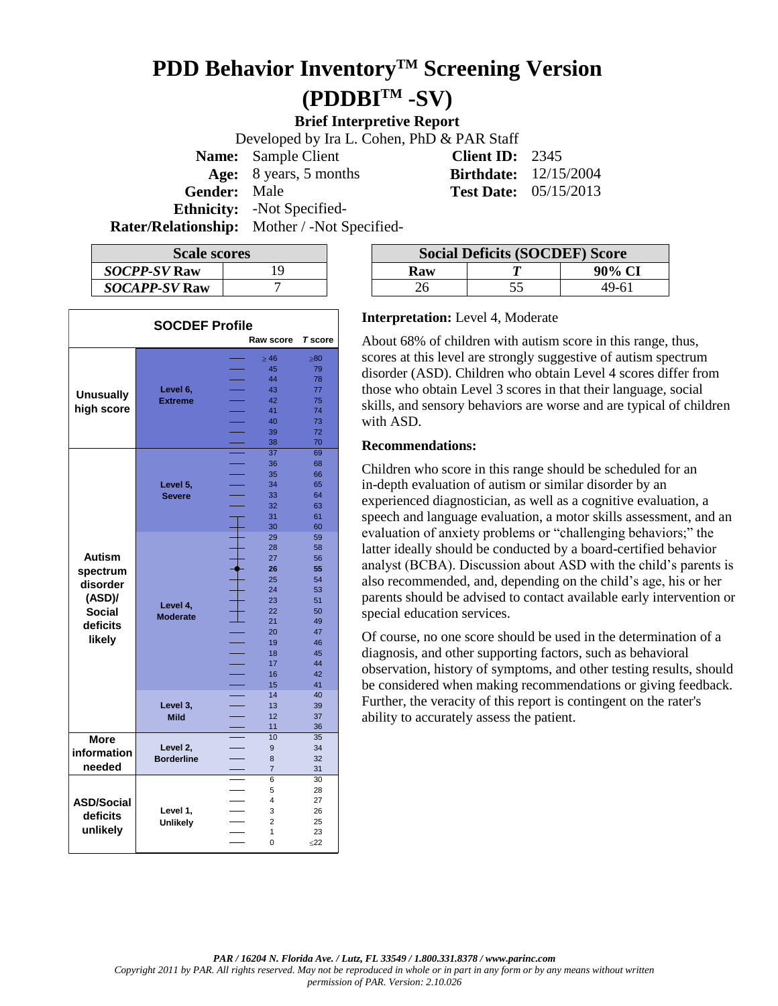# **PDD Behavior InventoryTM Screening Version (PDDBITM -SV)**

**Brief Interpretive Report**

Developed by Ira L. Cohen, PhD & PAR Staff **Name:** Sample Client **Client ID:** 2345 **Age:** 8 years, 5 months **Birthdate:** 12/15/2004 **Gender:** Male **Test Date:** 05/15/2013 **Ethnicity:** -Not Specified-

**Rater/Relationship:** Mother / -Not Specified-

| <b>Scale scores</b>  |    |  |  |
|----------------------|----|--|--|
| <b>SOCPP-SV Raw</b>  | 19 |  |  |
| <b>SOCAPP-SV Raw</b> |    |  |  |

| <b>SOCDEF Profile</b><br>Raw score<br><b>T</b> score |                   |                        |                |           |  |  |
|------------------------------------------------------|-------------------|------------------------|----------------|-----------|--|--|
|                                                      |                   |                        | $\geq 46$      | $\geq 80$ |  |  |
|                                                      |                   |                        | 45             | 79        |  |  |
|                                                      |                   |                        | 44             | 78        |  |  |
|                                                      | Level 6,          |                        | 43             | 77        |  |  |
| <b>Unusually</b><br>high score                       | <b>Extreme</b>    |                        | 42             | 75        |  |  |
|                                                      |                   |                        | 41             | 74        |  |  |
|                                                      |                   |                        | 40             | 73        |  |  |
|                                                      |                   |                        | 39             | 72        |  |  |
|                                                      |                   |                        | 38             | 70        |  |  |
|                                                      |                   |                        | 37             | 69        |  |  |
|                                                      |                   |                        | 36             | 68        |  |  |
|                                                      |                   |                        | 35             | 66        |  |  |
|                                                      | Level 5,          |                        | 34             | 65        |  |  |
|                                                      | <b>Severe</b>     |                        | 33             | 64        |  |  |
|                                                      |                   |                        | 32             | 63        |  |  |
|                                                      |                   |                        | 31             | 61        |  |  |
|                                                      |                   |                        | 30             | 60        |  |  |
|                                                      |                   |                        | 29             | 59        |  |  |
|                                                      |                   |                        | 28             | 58        |  |  |
| <b>Autism</b>                                        |                   |                        | 27             | 56        |  |  |
|                                                      |                   |                        | 26             | 55        |  |  |
| spectrum                                             |                   |                        | 25             | 54        |  |  |
| disorder                                             |                   |                        | 24             | 53        |  |  |
| (ASD)/                                               |                   |                        | 23             | 51        |  |  |
| Social                                               | Level 4,          |                        | 22             | 50        |  |  |
|                                                      | <b>Moderate</b>   |                        | 21             | 49        |  |  |
| deficits                                             |                   |                        | 20             | 47        |  |  |
| likely                                               |                   |                        | 19             | 46        |  |  |
|                                                      |                   |                        | 18             | 45        |  |  |
|                                                      |                   |                        | 17             | 44        |  |  |
|                                                      |                   |                        | 16             | 42        |  |  |
|                                                      |                   |                        | 15             | 41        |  |  |
|                                                      |                   |                        | 14             | 40        |  |  |
|                                                      | Level 3,          |                        | 13             | 39        |  |  |
|                                                      | <b>Mild</b>       |                        | 12             | 37        |  |  |
|                                                      |                   |                        | 11             | 36        |  |  |
| <b>More</b>                                          |                   |                        | 10             | 35        |  |  |
| information                                          | Level 2,          |                        | 9              | 34        |  |  |
|                                                      | <b>Borderline</b> | <b>Service Service</b> | 8              | 32        |  |  |
| needed                                               |                   |                        | $\overline{7}$ | 31        |  |  |
|                                                      |                   |                        | 6              | 30        |  |  |
|                                                      |                   |                        | 5              | 28        |  |  |
| <b>ASD/Social</b>                                    |                   |                        | 4              | 27        |  |  |
| deficits                                             | Level 1,          |                        | 3              | 26        |  |  |
|                                                      | <b>Unlikely</b>   |                        | $\overline{2}$ | 25        |  |  |
| unlikely                                             |                   |                        | 1              | 23        |  |  |
|                                                      |                   |                        | $\overline{0}$ | $22$      |  |  |

| <b>Scale scores</b>  |  | <b>Social Deficits (SOCDEF) Score</b> |  |        |
|----------------------|--|---------------------------------------|--|--------|
| <i>SOCPP-SV</i> Raw  |  | Raw                                   |  | 90% CJ |
| <b>SOCAPP-SV Raw</b> |  |                                       |  | 49-61  |

#### **Interpretation:** Level 4, Moderate

About 68% of children with autism score in this range, thus, scores at this level are strongly suggestive of autism spectrum disorder (ASD). Children who obtain Level 4 scores differ from those who obtain Level 3 scores in that their language, social skills, and sensory behaviors are worse and are typical of children with ASD.

#### **Recommendations:**

Children who score in this range should be scheduled for an in-depth evaluation of autism or similar disorder by an experienced diagnostician, as well as a cognitive evaluation, a speech and language evaluation, a motor skills assessment, and an evaluation of anxiety problems or "challenging behaviors;" the latter ideally should be conducted by a board-certified behavior analyst (BCBA). Discussion about ASD with the child's parents is also recommended, and, depending on the child's age, his or her parents should be advised to contact available early intervention or special education services.

Of course, no one score should be used in the determination of a diagnosis, and other supporting factors, such as behavioral observation, history of symptoms, and other testing results, should be considered when making recommendations or giving feedback. Further, the veracity of this report is contingent on the rater's ability to accurately assess the patient.